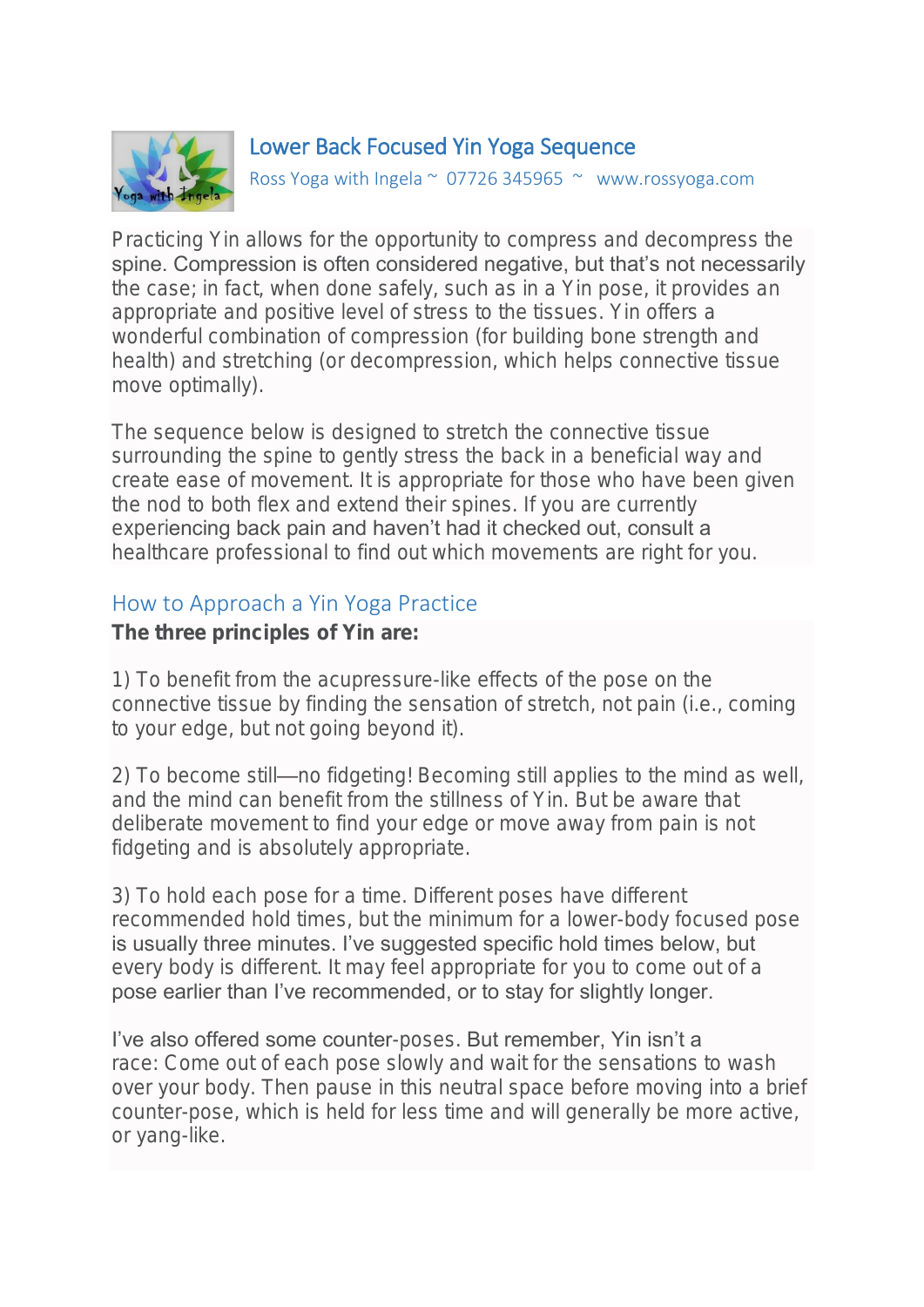

## Lower Back Focused Yin Yoga Sequence

Ross Yoga with Ingela ~ 07726 345965 ~ www.rossyoga.com

Practicing Yin allows for the opportunity to compress and decompress the spine. Compression is often considered negative, but that's not necessarily the case; in fact, when done safely, such as in a Yin pose, it provides an appropriate and positive level of stress to the tissues. Yin offers a wonderful combination of compression (for building bone strength and health) and stretching (or decompression, which helps connective tissue move optimally).

The sequence below is designed to stretch the connective tissue surrounding the spine to gently stress the back in a beneficial way and create ease of movement. It is appropriate for those who have been given the nod to both flex and extend their spines. If you are currently experiencing back pain and haven't had it checked out, consult a healthcare professional to find out which movements are right for you.

### How to Approach a Yin Yoga Practice

The three principles of Yin are:

1) To benefit from the acupressure-like effects of the pose on the connective tissue by finding the sensation of stretch, not pain (i.e., coming to your edge, but not going beyond it).

2) To become still—no fidgeting! Becoming still applies to the mind as well, and the mind can benefit from the stillness of Yin. But be aware that deliberate movement to find your edge or move away from pain is not fidgeting and is absolutely appropriate.

3) To hold each pose for a time. Different poses have different recommended hold times, but the minimum for a lower-body focused pose is usually three minutes. I've suggested specific hold times below, but every body is different. It may feel appropriate for you to come out of a pose earlier than I've recommended, or to stay for slightly longer.

I've also offered some counter-poses. But remember, Yin isn't a race: Come out of each pose slowly and wait for the sensations to wash over your body. Then pause in this neutral space before moving into a brief counter-pose, which is held for less time and will generally be more active, or yang-like.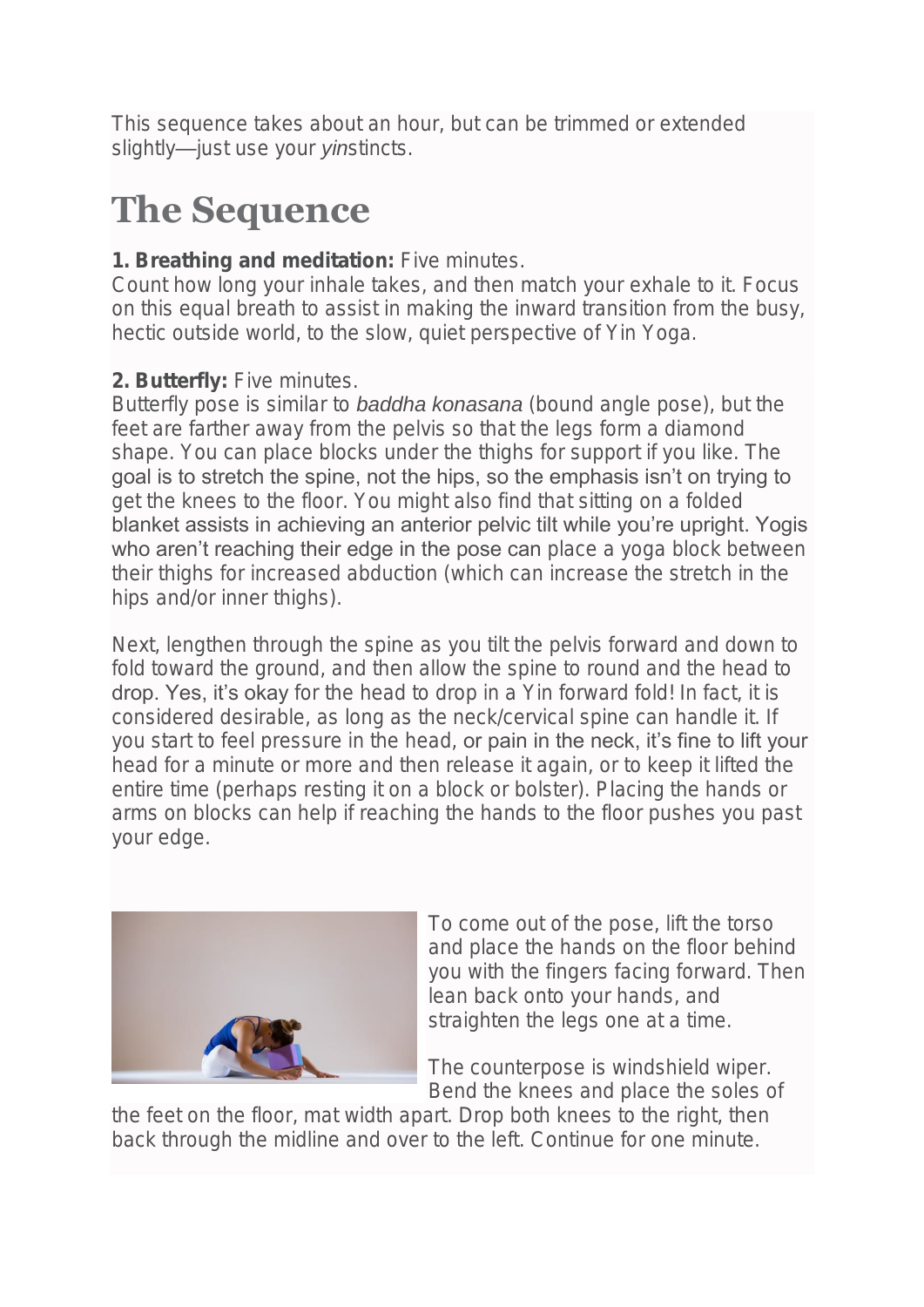This sequence takes about an hour, but can be trimmed or extended slightly—just use your *yin*stincts.

# **The Sequence**

1. Breathing and meditation: Five minutes.

Count how long your inhale takes, and then match your exhale to it. Focus on this equal breath to assist in making the inward transition from the busy, hectic outside world, to the slow, quiet perspective of Yin Yoga.

### 2. Butterfly: Five minutes.

Butterfly pose is similar to *baddha konasana* (bound angle pose), but the feet are farther away from the pelvis so that the legs form a diamond shape. You can place blocks under the thighs for support if you like. The goal is to stretch the spine, not the hips, so the emphasis isn't on trying to get the knees to the floor. You might also find that sitting on a folded blanket assists in achieving an anterior pelvic tilt while you're upright. Yogis who aren't reaching their edge in the pose can place a yoga block between their thighs for increased abduction (which can increase the stretch in the hips and/or inner thighs).

Next, lengthen through the spine as you tilt the pelvis forward and down to fold toward the ground, and then allow the spine to round and the head to drop. Yes, it's okay for the head to drop in a Yin forward fold! In fact, it is considered desirable, as long as the neck/cervical spine can handle it. If you start to feel pressure in the head, or pain in the neck, it's fine to lift your head for a minute or more and then release it again, or to keep it lifted the entire time (perhaps resting it on a block or bolster). Placing the hands or arms on blocks can help if reaching the hands to the floor pushes you past your edge.



To come out of the pose, lift the torso and place the hands on the floor behind you with the fingers facing forward. Then lean back onto your hands, and straighten the legs one at a time.

The counterpose is windshield wiper. Bend the knees and place the soles of

the feet on the floor, mat width apart. Drop both knees to the right, then back through the midline and over to the left. Continue for one minute.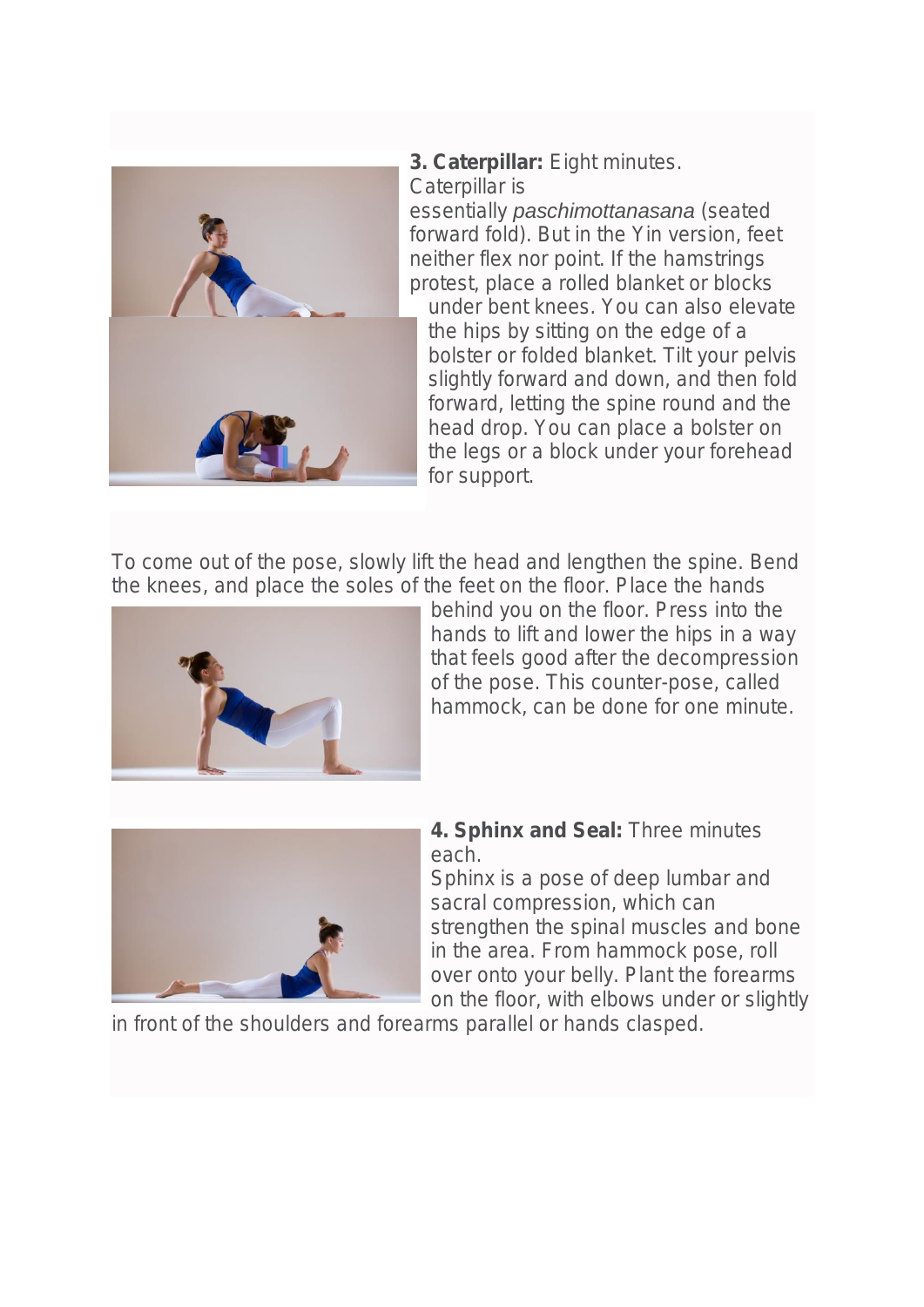

3. Caterpillar: Eight minutes. Caterpillar is

essentially *paschimottanasana* (seated forward fold). But in the Yin version, feet neither flex nor point. If the hamstrings protest, place a rolled blanket or blocks

under bent knees. You can also elevate the hips by sitting on the edge of a bolster or folded blanket. Tilt your pelvis slightly forward and down, and then fold forward, letting the spine round and the head drop. You can place a bolster on the legs or a block under your forehead for support.

To come out of the pose, slowly lift the head and lengthen the spine. Bend the knees, and place the soles of the feet on the floor. Place the hands



behind you on the floor. Press into the hands to lift and lower the hips in a way that feels good after the decompression of the pose. This counter-pose, called hammock, can be done for one minute.



4. Sphinx and Seal: Three minutes each.

Sphinx is a pose of deep lumbar and sacral compression, which can strengthen the spinal muscles and bone in the area. From hammock pose, roll over onto your belly. Plant the forearms on the floor, with elbows under or slightly

in front of the shoulders and forearms parallel or hands clasped.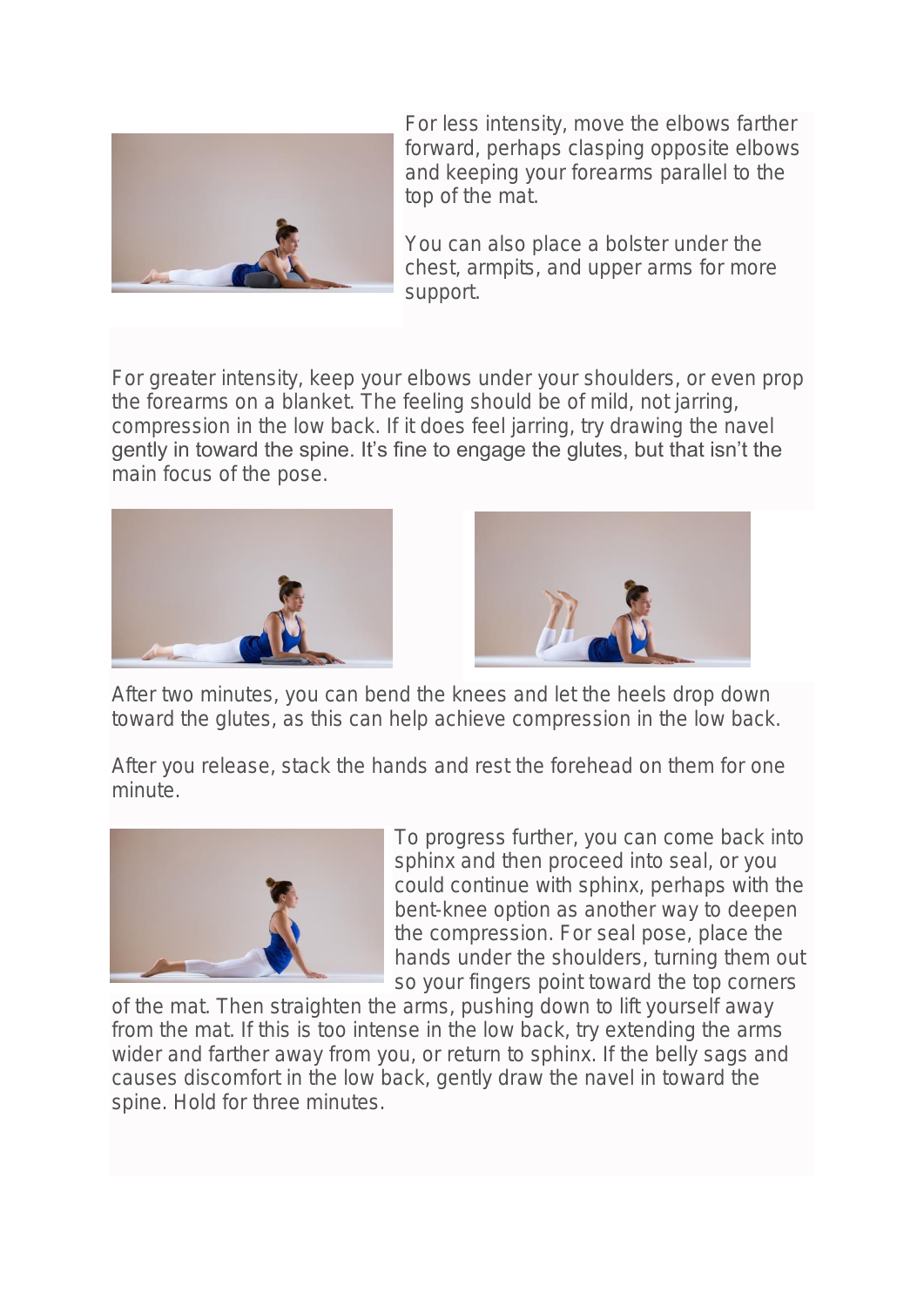

For less intensity, move the elbows farther forward, perhaps clasping opposite elbows and keeping your forearms parallel to the top of the mat.

You can also place a bolster under the chest, armpits, and upper arms for more support.

For greater intensity, keep your elbows under your shoulders, or even prop the forearms on a blanket. The feeling should be of mild, not jarring, compression in the low back. If it does feel jarring, try drawing the navel gently in toward the spine. It's fine to engage the glutes, but that isn't the main focus of the pose.





After two minutes, you can bend the knees and let the heels drop down toward the glutes, as this can help achieve compression in the low back.

After you release, stack the hands and rest the forehead on them for one minute.



To progress further, you can come back into sphinx and then proceed into seal, or you could continue with sphinx, perhaps with the bent-knee option as another way to deepen the compression. For seal pose, place the hands under the shoulders, turning them out so your fingers point toward the top corners

of the mat. Then straighten the arms, pushing down to lift yourself away from the mat. If this is too intense in the low back, try extending the arms wider and farther away from you, or return to sphinx. If the belly sags and causes discomfort in the low back, gently draw the navel in toward the spine. Hold for three minutes.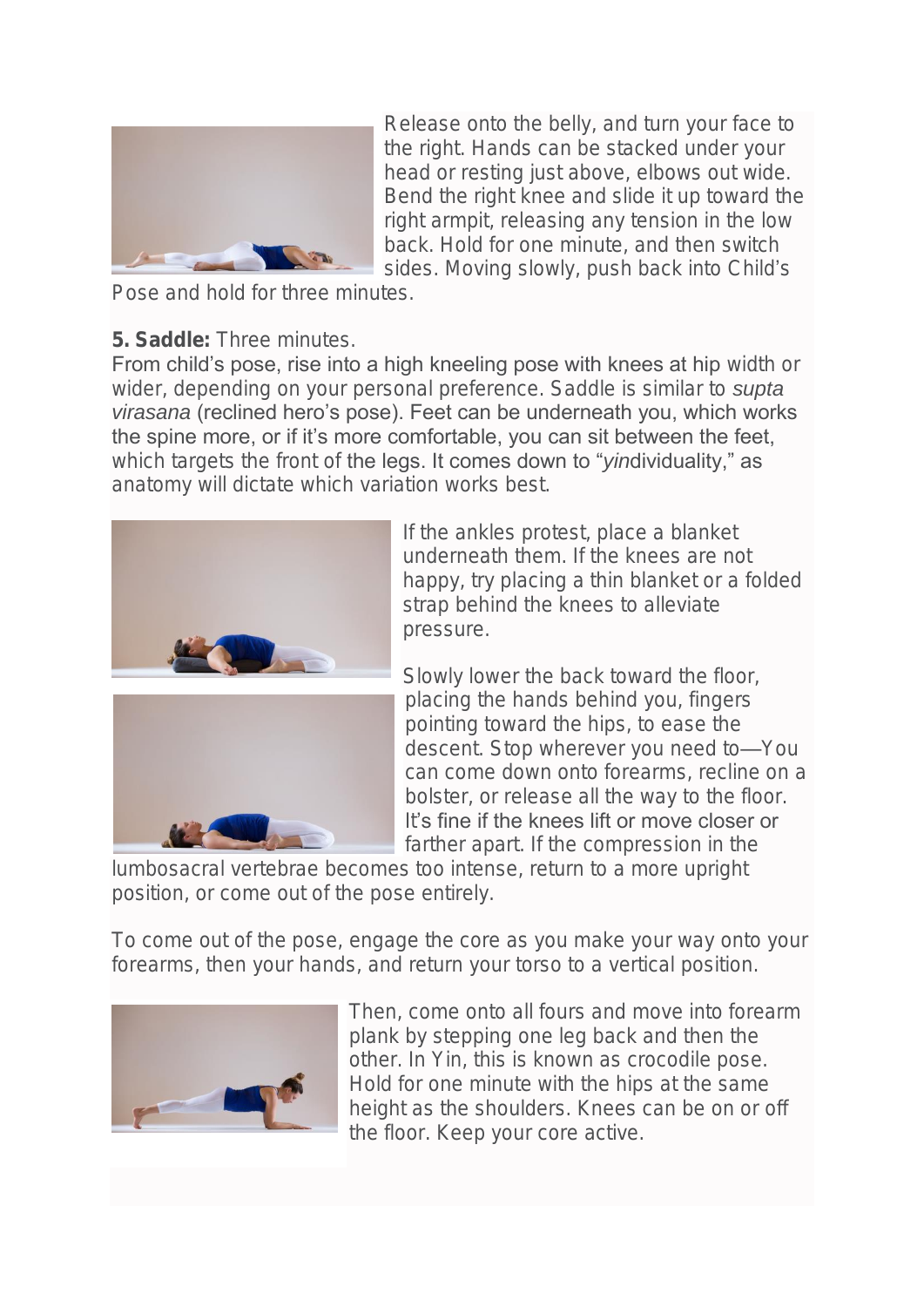

Release onto the belly, and turn your face to the right. Hands can be stacked under your head or resting just above, elbows out wide. Bend the right knee and slide it up toward the right armpit, releasing any tension in the low back. Hold for one minute, and then switch sides. Moving slowly, push back into Child's

Pose and hold for three minutes.

#### 5. Saddle: Three minutes.

From child's pose, rise into a high kneeling pose with knees at hip width or wider, depending on your personal preference. Saddle is similar to *supta virasana* (reclined hero's pose). Feet can be underneath you, which works the spine more, or if it's more comfortable, you can sit between the feet, which targets the front of the legs. It comes down to "*yin*dividuality," as anatomy will dictate which variation works best.



If the ankles protest, place a blanket underneath them. If the knees are not happy, try placing a thin blanket or a folded strap behind the knees to alleviate pressure.



Slowly lower the back toward the floor, placing the hands behind you, fingers pointing toward the hips, to ease the descent. Stop wherever you need to—You can come down onto forearms, recline on a bolster, or release all the way to the floor. It's fine if the knees lift or move closer or farther apart. If the compression in the

lumbosacral vertebrae becomes too intense, return to a more upright position, or come out of the pose entirely.

To come out of the pose, engage the core as you make your way onto your forearms, then your hands, and return your torso to a vertical position.



Then, come onto all fours and move into forearm plank by stepping one leg back and then the other. In Yin, this is known as crocodile pose. Hold for one minute with the hips at the same height as the shoulders. Knees can be on or off the floor. Keep your core active.